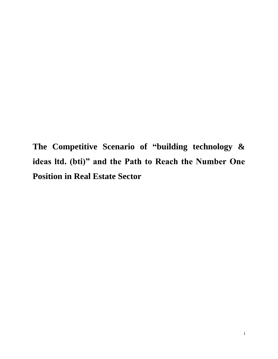**The Competitive Scenario of "building technology & ideas ltd. (bti)" and the Path to Reach the Number One Position in Real Estate Sector**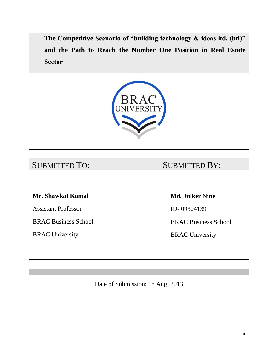**The Competitive Scenario of "building technology & ideas ltd. (bti)" and the Path to Reach the Number One Position in Real Estate Sector**



# SUBMITTED TO: SUBMITTED BY:

# **Mr. Shawkat Kamal**

Assistant Professor

BRAC Business School

BRAC University

### **Md. Julker Nine**

ID- 09304139

BRAC Business School

BRAC University

Date of Submission: 18 Aug, 2013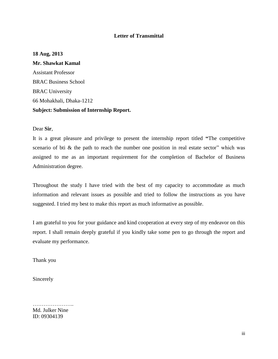#### **Letter of Transmittal**

#### **18 Aug, 2013**

**Mr. Shawkat Kamal** Assistant Professor BRAC Business School BRAC University 66 Mohakhali, Dhaka-1212 **Subject: Submission of Internship Report.**

Dear **Sir**,

It is a great pleasure and privilege to present the internship report titled **"**The competitive scenario of bti  $\&$  the path to reach the number one position in real estate sector" which was assigned to me as an important requirement for the completion of Bachelor of Business Administration degree.

Throughout the study I have tried with the best of my capacity to accommodate as much information and relevant issues as possible and tried to follow the instructions as you have suggested. I tried my best to make this report as much informative as possible.

I am grateful to you for your guidance and kind cooperation at every step of my endeavor on this report. I shall remain deeply grateful if you kindly take some pen to go through the report and evaluate my performance.

Thank you

Sincerely

Md. Julker Nine ID: 09304139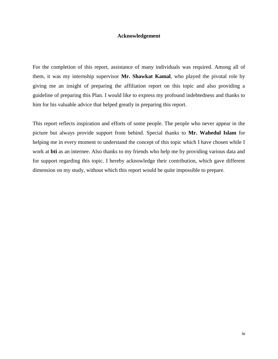#### **Acknowledgement**

For the completion of this report, assistance of many individuals was required. Among all of them, it was my internship supervisor **Mr. Shawkat Kamal**, who played the pivotal role by giving me an insight of preparing the affiliation report on this topic and also providing a guideline of preparing this Plan. I would like to express my profound indebtedness and thanks to him for his valuable advice that helped greatly in preparing this report.

This report reflects inspiration and efforts of some people. The people who never appear in the picture but always provide support from behind. Special thanks to **Mr. Wahedul Islam** for helping me in every moment to understand the concept of this topic which I have chosen while I work at **bti** as an internee. Also thanks to my friends who help me by providing various data and for support regarding this topic. I hereby acknowledge their contribution, which gave different dimension on my study, without which this report would be quite impossible to prepare.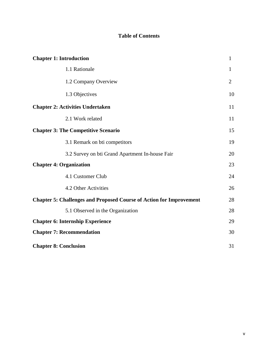### **Table of Contents**

| <b>Chapter 1: Introduction</b>                                             |                |
|----------------------------------------------------------------------------|----------------|
| 1.1 Rationale                                                              | 1              |
| 1.2 Company Overview                                                       | $\overline{2}$ |
| 1.3 Objectives                                                             | 10             |
| <b>Chapter 2: Activities Undertaken</b>                                    |                |
| 2.1 Work related                                                           | 11             |
| <b>Chapter 3: The Competitive Scenario</b>                                 |                |
| 3.1 Remark on bti competitors                                              | 19             |
| 3.2 Survey on bti Grand Apartment In-house Fair                            | 20             |
| <b>Chapter 4: Organization</b>                                             |                |
| 4.1 Customer Club                                                          | 24             |
| 4.2 Other Activities                                                       | 26             |
| <b>Chapter 5: Challenges and Proposed Course of Action for Improvement</b> |                |
| 5.1 Observed in the Organization                                           | 28             |
| <b>Chapter 6: Internship Experience</b>                                    |                |
| <b>Chapter 7: Recommendation</b>                                           |                |
| <b>Chapter 8: Conclusion</b>                                               |                |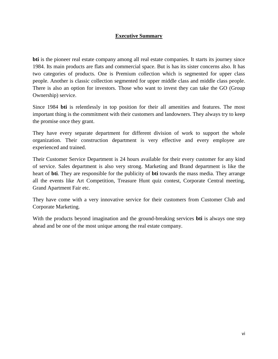#### **Executive Summary**

**bti** is the pioneer real estate company among all real estate companies. It starts its journey since 1984. Its main products are flats and commercial space. But is has its sister concerns also. It has two categories of products. One is Premium collection which is segmented for upper class people. Another is classic collection segmented for upper middle class and middle class people. There is also an option for investors. Those who want to invest they can take the GO (Group Ownership) service.

Since 1984 **bti** is relentlessly in top position for their all amenities and features. The most important thing is the commitment with their customers and landowners. They always try to keep the promise once they grant.

They have every separate department for different division of work to support the whole organization. Their construction department is very effective and every employee are experienced and trained.

Their Customer Service Department is 24 hours available for their every customer for any kind of service. Sales department is also very strong. Marketing and Brand department is like the heart of **bti**. They are responsible for the publicity of **bti** towards the mass media. They arrange all the events like Art Competition, Treasure Hunt quiz contest, Corporate Central meeting, Grand Apartment Fair etc.

They have come with a very innovative service for their customers from Customer Club and Corporate Marketing.

With the products beyond imagination and the ground-breaking services **bti** is always one step ahead and be one of the most unique among the real estate company.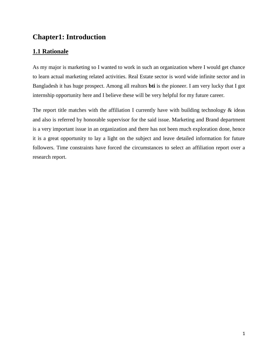# **Chapter1: Introduction**

# **1.1 Rationale**

As my major is marketing so I wanted to work in such an organization where I would get chance to learn actual marketing related activities. Real Estate sector is word wide infinite sector and in Bangladesh it has huge prospect. Among all realtors **bti** is the pioneer. I am very lucky that I got internship opportunity here and I believe these will be very helpful for my future career.

The report title matches with the affiliation I currently have with building technology  $\&$  ideas and also is referred by honorable supervisor for the said issue. Marketing and Brand department is a very important issue in an organization and there has not been much exploration done, hence it is a great opportunity to lay a light on the subject and leave detailed information for future followers. Time constraints have forced the circumstances to select an affiliation report over a research report.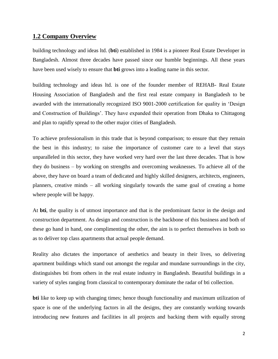### **1.2 Company Overview**

building technology and ideas ltd. (**bti**) established in 1984 is a pioneer Real Estate Developer in Bangladesh. Almost three decades have passed since our humble beginnings. All these years have been used wisely to ensure that **bti** grows into a leading name in this sector.

building technology and ideas ltd. is one of the founder member of REHAB- Real Estate Housing Association of Bangladesh and the first real estate company in Bangladesh to be awarded with the internationally recognized ISO 9001-2000 certification for quality in 'Design and Construction of Buildings'. They have expanded their operation from Dhaka to Chittagong and plan to rapidly spread to the other major cities of Bangladesh.

To achieve professionalism in this trade that is beyond comparison; to ensure that they remain the best in this industry; to raise the importance of [customer care](http://btibd.com/customer-info) to a level that stays unparalleled in this sector, they have worked very hard over the last three decades. That is how they do business – by working on [strengths](http://btibd.com/strengths) and overcoming weaknesses. To achieve all of the above, they have on board a team of dedicated and highly skilled designers, architects, engineers, planners, creative minds – all working singularly towards the same goal of creating a home where people will be happy.

At **bti**, the quality is of utmost importance and that is the predominant factor in the design and [construction](http://btibd.com/wp-content/themes/DeepFocus/images/Structural-and-Engineering.jpg) department. As design and construction is the backbone of this business and both of these go hand in hand, one complimenting the other, the aim is to perfect themselves in both so as to deliver top class apartments that actual people demand.

Reality also dictates the importance of aesthetics and beauty in their lives, so delivering apartment buildings which stand out amongst the regular and mundane surroundings in the city, distinguishes bti from others in the real estate industry in Bangladesh. Beautiful buildings in a variety of styles ranging from classical to contemporary dominate the radar of [bti collection.](http://btibd.com/bti-collection)

**bti** like to keep up with changing times; hence though functionality and maximum utilization of space is one of the underlying factors in all the designs, they are constantly working towards introducing new features and facilities in all projects and backing them with equally strong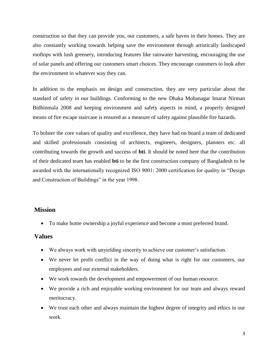construction so that they can provide you, our customers, a safe haven in their homes. They are also constantly working towards helping save the environment through artistically landscaped rooftops with lush greenery, introducing features like rainwater harvesting, encouraging the use of solar panels and offering our customers smart choices. They encourage customers to look after the environment in whatever way they can.

In addition to the emphasis on design and construction, they are very particular about the standard of safety in our buildings. Conforming to the new Dhaka Mohanagar Imarat Nirman Bidhinmala 2008 and keeping environment and safety aspects in mind, a properly designed means of fire escape staircase is ensured as a measure of safety against plausible fire hazards.

To bolster the core values of quality and excellence, they have had on board a team of dedicated and skilled professionals consisting of architects, engineers, designers, planners etc. all contributing towards the growth and success of **bti**. It should be noted here that the contribution of their dedicated team has enabled **bti** to be the first construction company of Bangladesh to be awarded with the internationally recognized ISO 9001: 2000 certification for quality in "Design and Construction of Buildings" in the year 1998.

#### **Mission**

To make home ownership a joyful experience and become a most preferred brand.

#### **Values**

- We always work with unyielding sincerity to achieve our customer's satisfaction.
- We never let profit conflict in the way of doing what is right for our customers, our employees and our external stakeholders.
- We work towards the development and empowerment of our human resource.
- We provide a rich and enjoyable working environment for our team and always reward meritocracy.
- We trust each other and always maintain the highest degree of integrity and ethics in our work.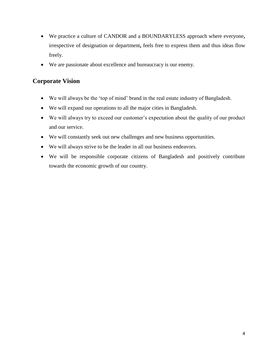- We practice a culture of CANDOR and a BOUNDARYLESS approach where everyone**,**  irrespective of designation or department**,** feels free to express them and thus ideas flow freely.
- We are passionate about excellence and bureaucracy is our enemy.

# **Corporate Vision**

- We will always be the ‗top of mind' brand in the real estate industry of Bangladesh.
- We will expand our operations to all the major cities in Bangladesh.
- We will always try to exceed our customer's expectation about the quality of our product and our service.
- We will constantly seek out new challenges and new business opportunities.
- We will always strive to be the leader in all our business endeavors.
- We will be responsible corporate citizens of Bangladesh and positively contribute towards the economic growth of our country.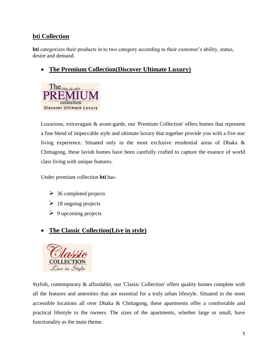## **bti Collection**

**bti** categorizes their products in to two category according to their customer's ability, status, desire and demand.

# **The Premium Collection(Discover Ultimate Luxury)**



Luxurious, extravagant & avant-garde, our 'Premium Collection' offers homes that represent a fine blend of impeccable style and ultimate luxury that together provide you with a five star living experience. Situated only in the most exclusive residential areas of Dhaka & Chittagong, these lavish homes have been carefully crafted to capture the essence of world class living with unique features.

Under premium collection **bti** has-

- $\geq$  36 completed projects
- $\geq 18$  ongoing projects
- $\triangleright$  9 upcoming projects

# **The Classic Collection(Live in style)**



Stylish, contemporary & affordable, our 'Classic Collection' offers quality homes complete with all the features and amenities that are essential for a truly urban lifestyle. Situated in the most accessible locations all over Dhaka & Chittagong, these apartments offer a comfortable and practical lifestyle to the owners. The sizes of the apartments, whether large or small, have functionality as the main theme.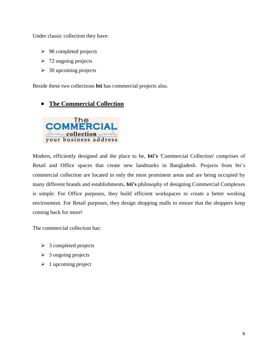Under classic collection they have:

- $\geq$  98 completed projects
- $\geq 72$  ongoing projects
- $\geq 30$  upcoming projects

Beside these two collections **bti** has commercial projects also.

# **The Commercial Collection**



Modern, efficiently designed and the place to be, **bti's** 'Commercial Collection' comprises of Retail and Office spaces that create new landmarks in Bangladesh. Projects from bti's commercial collection are located in only the most prominent areas and are being occupied by many different brands and establishments**. bti's** philosophy of designing Commercial Complexes is simple. For Office purposes, they build efficient workspaces to create a better working environment. For Retail purposes, they design shopping malls to ensure that the shoppers keep coming back for more!

The commercial collection has:

- $\triangleright$  3 completed projects
- $\geq 3$  ongoing projects
- $\geq 1$  upcoming project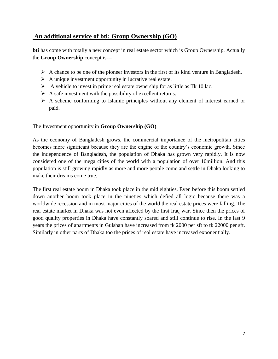# **An additional service of bti: Group Ownership (GO)**

**bti** has come with totally a new concept in real estate sector which is Group Ownership. Actually the **Group Ownership** concept is---

- $\triangleright$  A chance to be one of the pioneer investors in the first of its kind venture in Bangladesh.
- $\triangleright$  A unique investment opportunity in lucrative real estate.
- $\triangleright$  A vehicle to invest in prime real estate ownership for as little as Tk 10 lac.
- $\triangleright$  A safe investment with the possibility of excellent returns.
- $\triangleright$  A scheme conforming to Islamic principles without any element of interest earned or paid.

The Investment opportunity in **Group Ownership (GO)**

As the economy of Bangladesh grows, the commercial importance of the metropolitan cities becomes more significant because they are the engine of the country's economic growth. Since the independence of Bangladesh, the population of Dhaka has grown very rapidly. It is now considered one of the mega cities of the world with a population of over 10million. And this population is still growing rapidly as more and more people come and settle in Dhaka looking to make their dreams come true.

The first real estate boom in Dhaka took place in the mid eighties. Even before this boom settled down another boom took place in the nineties which defied all logic because there was a worldwide recession and in most major cities of the world the real estate prices were falling. The real estate market in Dhaka was not even affected by the first Iraq war. Since then the prices of good quality properties in Dhaka have constantly soared and still continue to rise. In the last 9 years the prices of apartments in Gulshan have increased from tk 2000 per sft to tk 22000 per sft. Similarly in other parts of Dhaka too the prices of real estate have increased exponentially.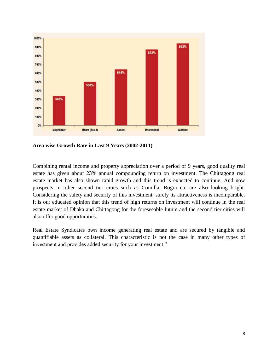

**Area wise Growth Rate in Last 9 Years (2002-2011)**

Combining rental income and property appreciation over a period of 9 years, good quality real estate has given about 23% annual compounding return on investment. The Chittagong real estate market has also shown rapid growth and this trend is expected to continue. And now prospects in other second tier cities such as Comilla, Bogra etc are also looking bright. Considering the safety and security of this investment, surely its attractiveness is incomparable. It is our educated opinion that this trend of high returns on investment will continue in the real estate market of Dhaka and Chittagong for the foreseeable future and the second tier cities will also offer good opportunities.

Real Estate Syndicates own income generating real estate and are secured by tangible and quantifiable assets as collateral. This characteristic is not the case in many other types of investment and provides added security for your investment."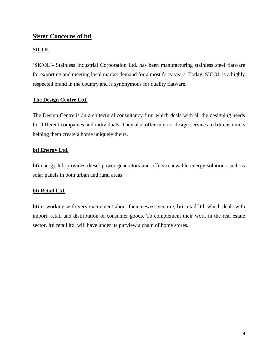### **Sister Concerns of bti**

#### **[SICOL](http://btibd.com/group-of-companies/sicol)**

‗SICOL'- Stainless Industrial Corporation Ltd. has been manufacturing stainless steel flatware for exporting and meeting local market demand for almost forty years. Today, SICOL is a highly respected brand in the country and is synonymous for quality flatware.

#### **[The Design Centre Ltd.](http://btibd.com/group-of-companies/interiors-design-centre-ltd)**

The Design Centre is an architectural consultancy firm which deals with all the designing needs for different companies and individuals. They also offer [interior design services](http://btibd.com/group-of-companies/interiors-design-centre-ltd) to **bti** customers helping them create a home uniquely theirs.

#### **[bti Energy Ltd.](http://btibd.com/group-of-companies/bti-energy)**

**bti** energy ltd. provides diesel power generators and offers renewable energy solutions such as solar panels in both urban and rural areas.

#### **[bti Retail Ltd.](http://btibd.com/group-of-companies/bti-retail-ltd)**

**bti** is working with very excitement about their newest venture, **bti** retail ltd. which deals with import, retail and distribution of consumer goods. To complement their work in the real estate sector, **bti** retail ltd. will have under its purview a chain of home stores.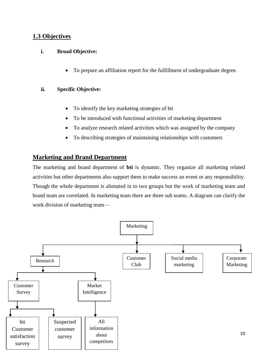### **1.3 Objectives**

#### **i. Broad Objective:**

To prepare an affiliation report for the fulfillment of undergraduate degree.

#### **ii. Specific Objective:**

- To identify the key marketing strategies of bti
- To be introduced with functional activities of marketing department
- To analyze research related activities which was assigned by the company
- To describing strategies of maintaining relationships with customers

### **Marketing and Brand Department**

The marketing and brand department of **bti** is dynamic. They organize all marketing related activities but other departments also support them to make success an event or any responsibility. Though the whole department is alienated in to two groups but the work of marketing team and brand team are correlated. In marketing team there are three sub teams. A diagram can clarify the work division of marketing team—

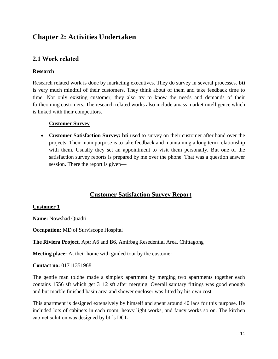# **Chapter 2: Activities Undertaken**

### **2.1 Work related**

#### **Research**

Research related work is done by marketing executives. They do survey in several processes. **bti**  is very much mindful of their customers. They think about of them and take feedback time to time. Not only existing customer, they also try to know the needs and demands of their forthcoming customers. The research related works also include amass market intelligence which is linked with their competitors.

#### **Customer Survey**

 **Customer Satisfaction Survey: bti** used to survey on their customer after hand over the projects. Their main purpose is to take feedback and maintaining a long term relationship with them. Usually they set an appointment to visit them personally. But one of the satisfaction survey reports is prepared by me over the phone. That was a question answer session. There the report is given—

### **Customer Satisfaction Survey Report**

#### **Customer 1**

**Name:** Nowshad Quadri

**Occupation:** MD of Surviscope Hospital

**The Riviera Project**, Apt: A6 and B6, Amirbag Resedential Area, Chittagong

**Meeting place:** At their home with guided tour by the customer

**Contact no:** 01711351968

The gentle man toldhe made a simplex apartment by merging two apartments together each contains 1556 sft which get 3112 sft after merging. Overall sanitary fittings was good enough and but marble finished basin area and shower encloser was fitted by his own cost.

This apartment is designed extensively by himself and spent around 40 lacs for this purpose. He included lots of cabinets in each room, heavy light works, and fancy works so on. The kitchen cabinet solution was designed by bti's DCL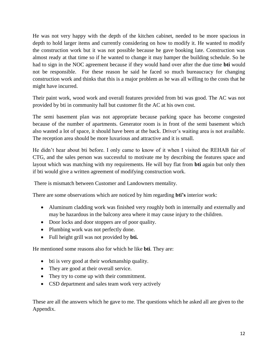He was not very happy with the depth of the kitchen cabinet, needed to be more spacious in depth to hold larger items and currently considering on how to modify it. He wanted to modify the construction work but it was not possible because he gave booking late. Construction was almost ready at that time so if he wanted to change it may hamper the building schedule. So he had to sign in the NOC agreement because if they would hand over after the due time **bti** would not be responsible. For these reason he said he faced so much bureaucracy for changing construction work and thinks that this is a major problem as he was all willing to the costs that he might have incurred.

Their paint work, wood work and overall features provided from bti was good. The AC was not provided by bti in community hall but customer fit the AC at his own cost.

The semi basement plan was not appropriate because parking space has become congested because of the number of apartments. Generator room is in front of the semi basement which also wasted a lot of space, it should have been at the back. Driver's waiting area is not available. The reception area should be more luxurious and attractive and it is small.

He didn't hear about bti before. I only came to know of it when I visited the REHAB fair of CTG, and the sales person was successful to motivate me by describing the features space and layout which was matching with my requirements. He will buy flat from **bti** again but only then if bti would give a written agreement of modifying construction work.

There is mismatch between Customer and Landowners mentality.

There are some observations which are noticed by him regarding **bti's** interior work:

- Aluminum cladding work was finished very roughly both in internally and externally and may be hazardous in the balcony area where it may cause injury to the children.
- Door locks and door stoppers are of poor quality.
- Plumbing work was not perfectly done.
- Full height grill was not provided by **bti.**

He mentioned some reasons also for which he like **bti**. They are:

- bti is very good at their workmanship quality.
- They are good at their overall service.
- They try to come up with their commitment.
- CSD department and sales team work very actively

These are all the answers which he gave to me. The questions which he asked all are given to the Appendix.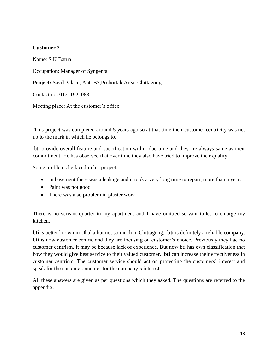#### **Customer 2**

Name: S.K Barua Occupation: Manager of Syngenta **Project:** Savil Palace, Apt: B7,Probortak Area: Chittagong. Contact no: 01711921083 Meeting place: At the customer's office

This project was completed around 5 years ago so at that time their customer centricity was not up to the mark in which he belongs to.

bti provide overall feature and specification within due time and they are always same as their commitment. He has observed that over time they also have tried to improve their quality.

Some problems he faced in his project:

- In basement there was a leakage and it took a very long time to repair, more than a year.
- Paint was not good
- There was also problem in plaster work.

There is no servant quarter in my apartment and I have omitted servant toilet to enlarge my kitchen.

**bti** is better known in Dhaka but not so much in Chittagong. **bti** is definitely a reliable company. **bti** is now customer centric and they are focusing on customer's choice. Previously they had no customer centrism. It may be because lack of experience. But now bti has own classification that how they would give best service to their valued customer. **bti** can increase their effectiveness in customer centrism. The customer service should act on protecting the customers' interest and speak for the customer, and not for the company's interest.

All these answers are given as per questions which they asked. The questions are referred to the appendix.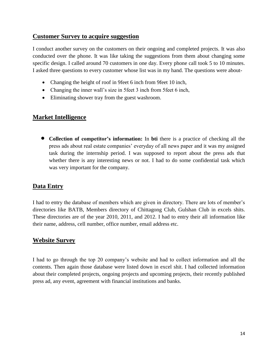### **Customer Survey to acquire suggestion**

I conduct another survey on the customers on their ongoing and completed projects. It was also conducted over the phone. It was like taking the suggestions from them about changing some specific design. I called around 70 customers in one day. Every phone call took 5 to 10 minutes. I asked three questions to every customer whose list was in my hand. The questions were about-

- Changing the height of roof in 9 feet 6 inch from 9 feet 10 inch,
- Changing the inner wall's size in 5feet 3 inch from 5feet 6 inch,
- Eliminating shower tray from the guest washroom.

### **Market Intelligence**

 **Collection of competitor's information:** In **bti** there is a practice of checking all the press ads about real estate companies' everyday of all news paper and it was my assigned task during the internship period. I was supposed to report about the press ads that whether there is any interesting news or not. I had to do some confidential task which was very important for the company.

## **Data Entry**

I had to entry the database of members which are given in directory. There are lots of member's directories like BATB, Members directory of Chittagong Club, Gulshan Club in excels shits. These directories are of the year 2010, 2011, and 2012. I had to entry their all information like their name, address, cell number, office number, email address etc.

### **Website Survey**

I had to go through the top 20 company's website and had to collect information and all the contents. Then again those database were listed down in excel shit. I had collected information about their completed projects, ongoing projects and upcoming projects, their recently published press ad, any event, agreement with financial institutions and banks.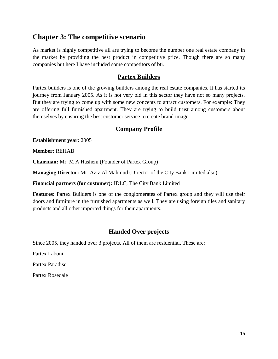# **Chapter 3: The competitive scenario**

As market is highly competitive all are trying to become the number one real estate company in the market by providing the best product in competitive price. Though there are so many companies but here I have included some competitors of bti.

### **Partex Builders**

Partex builders is one of the growing builders among the real estate companies. It has started its journey from January 2005. As it is not very old in this sector they have not so many projects. But they are trying to come up with some new concepts to attract customers. For example: They are offering full furnished apartment. They are trying to build trust among customers about themselves by ensuring the best customer service to create brand image.

### **Company Profile**

**Establishment year:** 2005

**Member:** REHAB

**Chairman:** Mr. M A Hashem (Founder of Partex Group)

**Managing Director:** Mr. Aziz Al Mahmud (Director of the City Bank Limited also)

**Financial partners (for customer):** IDLC, The City Bank Limited

**Features:** Partex Builders is one of the conglomerates of Partex group and they will use their doors and furniture in the furnished apartments as well. They are using foreign tiles and sanitary products and all other imported things for their apartments.

### **Handed Over projects**

Since 2005, they handed over 3 projects. All of them are residential. These are:

Partex Laboni

Partex Paradise

Partex Rosedale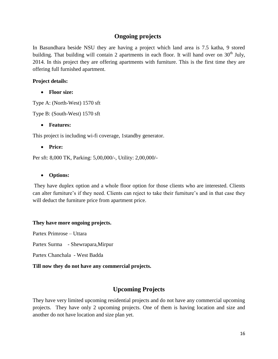## **Ongoing projects**

In Basundhara beside NSU they are having a project which land area is 7.5 katha, 9 stored building. That building will contain 2 apartments in each floor. It will hand over on  $30<sup>th</sup>$  July, 2014. In this project they are offering apartments with furniture. This is the first time they are offering full furnished apartment.

#### **Project details:**

**Floor size:**

Type A: (North-West) 1570 sft

Type B: (South-West) 1570 sft

#### **Features:**

This project is including wi-fi coverage, 1standby generator.

#### **Price:**

Per sft: 8,000 TK, Parking: 5,00,000/-, Utility: 2,00,000/-

#### **Options:**

They have duplex option and a whole floor option for those clients who are interested. Clients can alter furniture's if they need. Clients can reject to take their furniture's and in that case they will deduct the furniture price from apartment price.

#### **They have more ongoing projects.**

Partex Primrose – Uttara

Partex Surma - Shewrapara,Mirpur

Partex Chanchala - West Badda

### **Till now they do not have any commercial projects.**

## **Upcoming Projects**

They have very limited upcoming residential projects and do not have any commercial upcoming projects. They have only 2 upcoming projects. One of them is having location and size and another do not have location and size plan yet.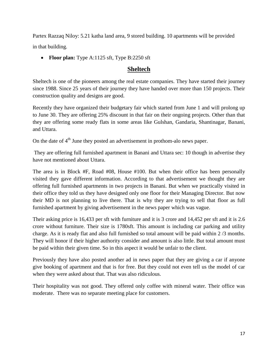Partex Razzaq Niloy: 5.21 katha land area, 9 stored building. 10 apartments will be provided in that building.

• Floor plan: Type A:1125 sft, Type B:2250 sft

### **Sheltech**

Sheltech is one of the pioneers among the real estate companies. They have started their journey since 1988. Since 25 years of their journey they have handed over more than 150 projects. Their construction quality and designs are good.

Recently they have organized their budgetary fair which started from June 1 and will prolong up to June 30. They are offering 25% discount in that fair on their ongoing projects. Other than that they are offering some ready flats in some areas like Gulshan, Gandaria, Shantinagar, Banani, and Uttara.

On the date of  $4<sup>th</sup>$  June they posted an advertisement in prothom-alo news paper.

They are offering full furnished apartment in Banani and Uttara sec: 10 though in advertise they have not mentioned about Uttara.

The area is in Block #F, Road #08, House #100. But when their office has been personally visited they gave different information. According to that advertisement we thought they are offering full furnished apartments in two projects in Banani. But when we practically visited in their office they told us they have designed only one floor for their Managing Director. But now their MD is not planning to live there. That is why they are trying to sell that floor as full furnished apartment by giving advertisement in the news paper which was vague.

Their asking price is 16,433 per sft with furniture and it is 3 crore and 14,452 per sft and it is 2.6 crore without furniture. Their size is 1780sft. This amount is including car parking and utility charge. As it is ready flat and also full furnished so total amount will be paid within 2 /3 months. They will honor if their higher authority consider and amount is also little. But total amount must be paid within their given time. So in this aspect it would be unfair to the client.

Previously they have also posted another ad in news paper that they are giving a car if anyone give booking of apartment and that is for free. But they could not even tell us the model of car when they were asked about that. That was also ridiculous.

Their hospitality was not good. They offered only coffee with mineral water. Their office was moderate. There was no separate meeting place for customers.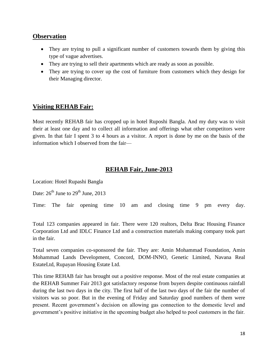### **Observation**

- They are trying to pull a significant number of customers towards them by giving this type of vague advertises.
- They are trying to sell their apartments which are ready as soon as possible.
- They are trying to cover up the cost of furniture from customers which they design for their Managing director.

## **Visiting REHAB Fair:**

Most recently REHAB fair has cropped up in hotel Ruposhi Bangla. And my duty was to visit their at least one day and to collect all information and offerings what other competitors were given. In that fair I spent 3 to 4 hours as a visitor. A report is done by me on the basis of the information which I observed from the fair—

## **REHAB Fair, June-2013**

Location: Hotel Rupashi Bangla

Date:  $26^{th}$  June to  $29^{th}$  June,  $2013$ 

Time: The fair opening time 10 am and closing time 9 pm every day.

Total 123 companies appeared in fair. There were 120 realtors, Delta Brac Housing Finance Corporation Ltd and IDLC Finance Ltd and a construction materials making company took part in the fair.

Total seven companies co-sponsored the fair. They are: Amin Mohammad Foundation, Amin Mohammad Lands Development, Concord, DOM-INNO, Genetic Limited, Navana Real EstateLtd, Rupayan Housing Estate Ltd.

This time REHAB fair has brought out a positive response. Most of the real estate companies at the REHAB Summer Fair 2013 got satisfactory response from buyers despite continuous rainfall during the last two days in the city. The first half of the last two days of the fair the number of visitors was so poor. But in the evening of Friday and Saturday good numbers of them were present. Recent government's decision on allowing gas connection to the domestic level and government's positive initiative in the upcoming budget also helped to pool customers in the fair.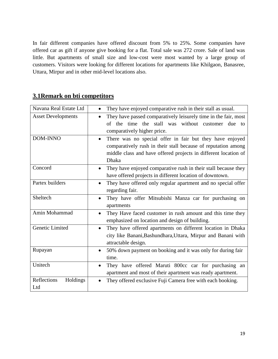In fair different companies have offered discount from 5% to 25%. Some companies have offered car as gift if anyone give booking for a flat. Total sale was 272 crore. Sale of land was little. But apartments of small size and low-cost were most wanted by a large group of customers. Visitors were looking for different locations for apartments like Khilgaon, Banasree, Uttara, Mirpur and in other mid-level locations also.

# **3.1Remark on bti competitors**

| Navana Real Estate Ltd         | They have enjoyed comparative rush in their stall as usual.                                                                                                                                                        |  |
|--------------------------------|--------------------------------------------------------------------------------------------------------------------------------------------------------------------------------------------------------------------|--|
| <b>Asset Developments</b>      | They have passed comparatively leisurely time in the fair, most<br>$\bullet$<br>of the time the stall was without customer due to<br>comparatively higher price.                                                   |  |
| <b>DOM-INNO</b>                | There was no special offer in fair but they have enjoyed<br>$\bullet$<br>comparatively rush in their stall because of reputation among<br>middle class and have offered projects in different location of<br>Dhaka |  |
| Concord                        | They have enjoyed comparative rush in their stall because they<br>have offered projects in different location of downtown.                                                                                         |  |
| Partex builders                | They have offered only regular apartment and no special offer<br>$\bullet$<br>regarding fair.                                                                                                                      |  |
| Sheltech                       | They have offer Mitsubishi Manza car for purchasing on<br>$\bullet$<br>apartments                                                                                                                                  |  |
| Amin Mohammad                  | They Have faced customer in rush amount and this time they<br>$\bullet$<br>emphasized on location and design of building.                                                                                          |  |
| <b>Genetic Limited</b>         | They have offered apartments on different location in Dhaka<br>$\bullet$<br>city like Banani, Bashundhara, Uttara, Mirpur and Banani with<br>attractable design.                                                   |  |
| Rupayan                        | 50% down payment on booking and it was only for during fair<br>$\bullet$<br>time.                                                                                                                                  |  |
| Unitech                        | They have offered Maruti 800cc car for purchasing an<br>$\bullet$<br>apartment and most of their apartment was ready apartment.                                                                                    |  |
| Reflections<br>Holdings<br>Ltd | They offered exclusive Fuji Camera free with each booking.<br>$\bullet$                                                                                                                                            |  |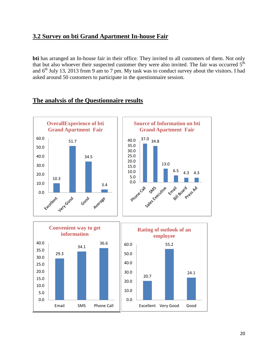## **3.2 Survey on bti Grand Apartment In-house Fair**

**bti** has arranged an In-house fair in their office. They invited to all customers of them. Not only that but also whoever their suspected customer they were also invited. The fair was occurred  $5<sup>th</sup>$ and  $6<sup>th</sup>$  July 13, 2013 from 9 am to 7 pm. My task was to conduct survey about the visitors. I had asked around 50 customers to participate in the questionnaire session.



#### **The analysis of the Questionnaire results**

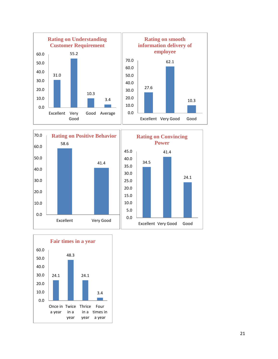





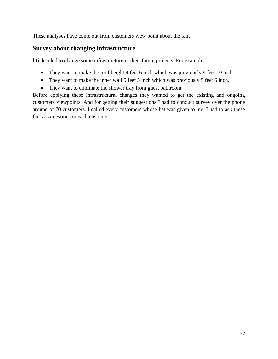These analyses have come out from customers view point about the fair.

### **Survey about changing infrastructure**

**bti** decided to change some infrastructure in their future projects. For example-

- They want to make the roof height 9 feet 6 inch which was previously 9 feet 10 inch.
- They want to make the inner wall 5 feet 3 inch which was previously 5 feet 6 inch.
- They want to eliminate the shower tray from guest bathroom.

Before applying these infrastructural changes they wanted to get the existing and ongoing customers viewpoints. And for getting their suggestions I had to conduct survey over the phone around of 70 customers. I called every customers whose list was given to me. I had to ask these facts as questions to each customer.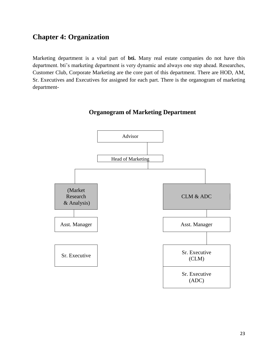# **Chapter 4: Organization**

Marketing department is a vital part of **bti.** Many real estate companies do not have this department. bti's marketing department is very dynamic and always one step ahead. Researches, Customer Club, Corporate Marketing are the core part of this department. There are HOD, AM, Sr. Executives and Executives for assigned for each part. There is the organogram of marketing department-



### **Organogram of Marketing Department**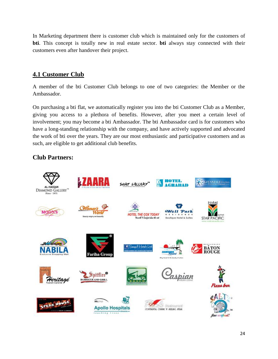In Marketing department there is customer club which is maintained only for the customers of **bti**. This concept is totally new in real estate sector. **bti** always stay connected with their customers even after handover their project.

# **4.1 Customer Club**

A member of the bti Customer Club belongs to one of two categories: the Member or the Ambassador.

On purchasing a bti flat, we automatically register you into the bti Customer Club as a Member, giving you access to a plethora of benefits. However, after you meet a certain level of involvement; you may become a bti Ambassador. The bti Ambassador card is for customers who have a long-standing relationship with the company, and have actively supported and advocated the work of bti over the years. They are our most enthusiastic and participative customers and as such, are eligible to get additional club benefits.

## **Club Partners:**

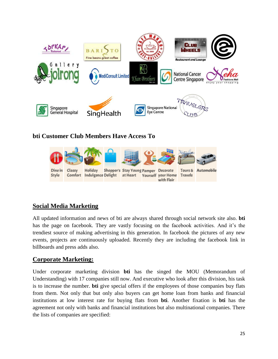

## **bti Customer Club Members Have Access To**



## **Social Media Marketing**

All updated information and news of bti are always shared through social network site also. **bti** has the page on facebook. They are vastly focusing on the facebook activities. And it's the trendiest source of making advertising in this generation. In facebook the pictures of any new events, projects are continuously uploaded. Recently they are including the facebook link in billboards and press adds also.

## **Corporate Marketing:**

Under corporate marketing division **bti** has the singed the MOU (Memorandum of Understanding) with 17 companies still now. And executive who look after this division, his task is to increase the number. **bti** give special offers if the employees of those companies buy flats from them. Not only that but only also buyers can get home loan from banks and financial institutions at low interest rate for buying flats from **bti**. Another fixation is **bti** has the agreement not only with banks and financial institutions but also multinational companies. There the lists of companies are specified: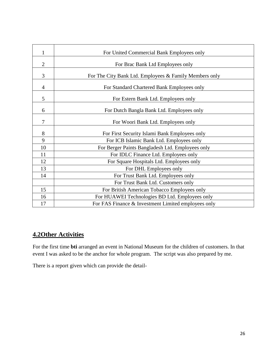| 1              | For United Commercial Bank Employees only              |
|----------------|--------------------------------------------------------|
| $\overline{2}$ | For Brac Bank Ltd Employees only                       |
| 3              | For The City Bank Ltd. Employees & Family Members only |
| 4              | For Standard Chartered Bank Employees only             |
| 5              | For Estern Bank Ltd. Employees only                    |
| 6              | For Dutch Bangla Bank Ltd. Employees only              |
| 7              | For Woori Bank Ltd. Employees only                     |
| 8              | For First Security Islami Bank Employees only          |
| 9              | For ICB Islamic Bank Ltd. Employees only               |
| 10             | For Berger Paints Bangladesh Ltd. Employees only       |
| 11             | For IDLC Finance Ltd. Employees only                   |
| 12             | For Square Hospitals Ltd. Employees only               |
| 13             | For DHL Employees only                                 |
| 14             | For Trust Bank Ltd. Employees only                     |
|                | For Trust Bank Ltd. Customers only                     |
| 15             | For British American Tobacco Employees only            |
| 16             | For HUAWEI Technologies BD Ltd. Employees only         |
| 17             | For FAS Finance & Investment Limited employees only    |

# **4.2Other Activities**

For the first time **bti** arranged an event in National Museum for the children of customers. In that event I was asked to be the anchor for whole program. The script was also prepared by me.

There is a report given which can provide the detail-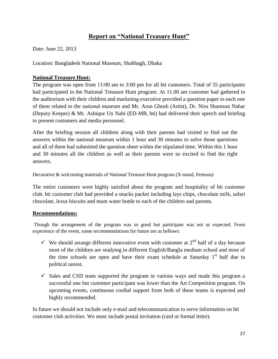# **Report on "National Treasure Hunt"**

Date: June 22, 2013

Location: Bangladesh National Museum, Shahbagh, Dhaka

#### **National Treasure Hunt:**

The program was open from 11:00 am to 3:00 pm for all bti customers. Total of 55 participants had participated in the National Treasure Hunt program. At 11.00 am customer had gathered in the auditorium with their children and marketing executive provided a question paper to each one of them related to the national museum and Mr. Arun Ghosh (Artist), Dr. Niru Shamsun Nahar (Deputy Keeper) & Mr. Ashique Un Nabi (ED-MB, bti) had delivered their speech and briefing to present customers and media personnel.

After the briefing session all children along with their parents had visited to find out the answers within the national museum within 1 hour and 30 minutes to solve those questions and all of them had submitted the question sheet within the stipulated time. Within this 1 hour and 30 minutes all the children as well as their parents were so excited to find the right answers.

Decorative & welcoming materials of National Treasure Hunt program (X-stand, Festoon)

The entire customers were highly satisfied about the program and hospitality of bti customer club. bti customer club had provided a snacks packet including lays chips, chocolate milk, safari chocolate, lexus biscuits and mum water bottle to each of the children and parents.

#### **Recommendations:**

Though the arrangement of the program was so good but participate was not as expected. From experience of the event, some recommendations for future are as bellows:

- We should arrange different innovative event with customer at  $2<sup>nd</sup>$  half of a day because most of the children are studying in different English/Bangla medium school and most of the time schools are open and have their exam schedule at Saturday  $1<sup>st</sup>$  half due to political unrest.
- $\checkmark$  Sales and CSD team supported the program in various ways and made this program a successful one but customer participant was lower than the Art Competition program. On upcoming events, continuous cordial support from both of these teams is expected and highly recommended.

In future we should not include only e-mail and telecommunication to serve information on bti customer club activities. We must include postal invitation (card or formal letter).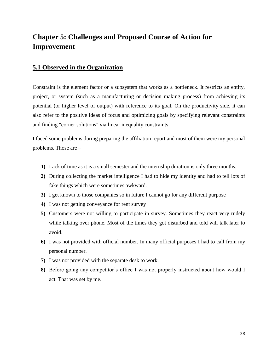# **Chapter 5: Challenges and Proposed Course of Action for Improvement**

### **5.1 Observed in the Organization**

Constraint is the element factor or a subsystem that works as a bottleneck. It restricts an entity, project, or system (such as a manufacturing or decision making process) from achieving its potential (or higher level of output) with reference to its goal. On the productivity side, it can also refer to the positive ideas of focus and optimizing goals by specifying relevant constraints and finding "corner solutions" via linear inequality constraints.

I faced some problems during preparing the affiliation report and most of them were my personal problems. Those are –

- **1)** Lack of time as it is a small semester and the internship duration is only three months.
- **2)** During collecting the market intelligence I had to hide my identity and had to tell lots of fake things which were sometimes awkward.
- **3)** I get known to those companies so in future I cannot go for any different purpose
- **4)** I was not getting conveyance for rent survey
- **5)** Customers were not willing to participate in survey. Sometimes they react very rudely while talking over phone. Most of the times they got disturbed and told will talk later to avoid.
- **6)** I was not provided with official number. In many official purposes I had to call from my personal number.
- **7)** I was not provided with the separate desk to work.
- **8)** Before going any competitor's office I was not properly instructed about how would I act. That was set by me.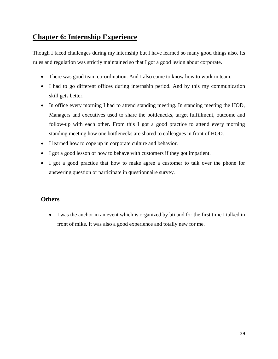# **Chapter 6: Internship Experience**

Though I faced challenges during my internship but I have learned so many good things also. Its rules and regulation was strictly maintained so that I got a good lesion about corporate.

- There was good team co-ordination. And I also came to know how to work in team.
- I had to go different offices during internship period. And by this my communication skill gets better.
- In office every morning I had to attend standing meeting. In standing meeting the HOD, Managers and executives used to share the bottlenecks, target fulfillment, outcome and follow-up with each other. From this I got a good practice to attend every morning standing meeting how one bottlenecks are shared to colleagues in front of HOD.
- I learned how to cope up in corporate culture and behavior.
- I got a good lesson of how to behave with customers if they got impatient.
- I got a good practice that how to make agree a customer to talk over the phone for answering question or participate in questionnaire survey.

### **Others**

 I was the anchor in an event which is organized by bti and for the first time I talked in front of mike. It was also a good experience and totally new for me.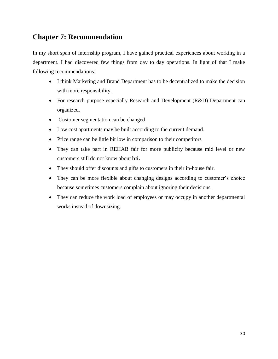# **Chapter 7: Recommendation**

In my short span of internship program, I have gained practical experiences about working in a department. I had discovered few things from day to day operations. In light of that I make following recommendations:

- I think Marketing and Brand Department has to be decentralized to make the decision with more responsibility.
- For research purpose especially Research and Development (R&D) Department can organized.
- Customer segmentation can be changed
- Low cost apartments may be built according to the current demand.
- Price range can be little bit low in comparison to their competitors
- They can take part in REHAB fair for more publicity because mid level or new customers still do not know about **bti.**
- They should offer discounts and gifts to customers in their in-house fair.
- They can be more flexible about changing designs according to customer's choice because sometimes customers complain about ignoring their decisions.
- They can reduce the work load of employees or may occupy in another departmental works instead of downsizing.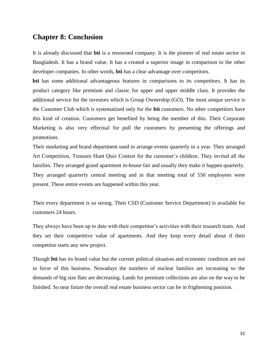### **Chapter 8: Conclusion**

It is already discussed that **bti** is a renowned company. It is the pioneer of real estate sector in Bangladesh. It has a brand value. It has a created a superior image in comparison to the other developer companies. In other words, **bti** has a clear advantage over competitors.

**bti** has some additional advantageous features in comparisons to its competitors. It has its product category like premium and classic for upper and upper middle class. It provides the additional service for the investors which is Group Ownership (GO). The most unique service is the Customer Club which is systematized only for the **bti** customers. No other competitors have this kind of creation. Customers get benefited by being the member of this. Their Corporate Marketing is also very effectual for pull the customers by presenting the offerings and promotions.

Their marketing and brand department used to arrange events quarterly in a year. They arranged Art Competition, Treasure Hunt Quiz Contest for the customer's children. They invited all the families. They arranged grand apartment in-house fair and usually they make it happen quarterly. They arranged quarterly central meeting and in that meeting total of 550 employees were present. These entire events are happened within this year.

Their every department is so strong. Their CSD (Customer Service Department) is available for customers 24 hours.

They always have been up to date with their competitor's activities with their research team. And they set their competitive value of apartments. And they keep every detail about if their competitor starts any new project.

Though **bti** has its brand value but the current political situation and economic condition are not in favor of this business. Nowadays the numbers of nuclear families are increasing so the demands of big size flats are decreasing. Lands for premium collections are also on the way to be finished. So near future the overall real estate business sector can be in frightening position.